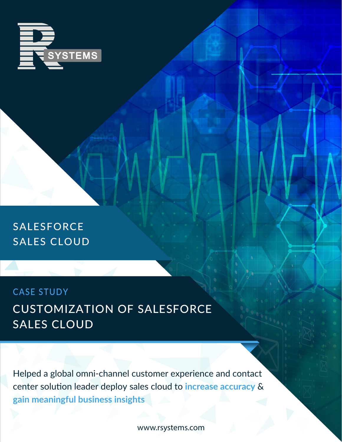

SALESFORCE SALES CLOUD

CUSTOMIZATION OF SALESFORCE SALES CLOUD CASE STUDY

Helped a global omni-channel customer experience and contact center solution leader deploy sales cloud to **increase accuracy** & **gain meaningful business insights** 

www.rsystems.com